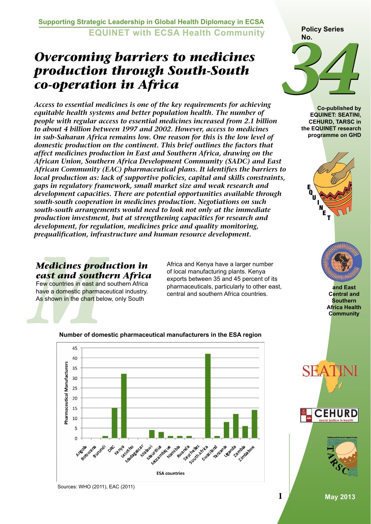**Supporting Strategic Leadership in Global Health Diplomacy in ECSA EQUINET with ECSA Health Community**

# *Overcoming barriers to medicines production through South-South co-operation in Africa*

*Access to essential medicines is one of the key requirements for achieving equitable health systems and better population health. The number of people with regular access to essential medicines increased from 2.1 billion to about 4 billion between 1997 and 2002. However, access to medicines in sub-Saharan Africa remains low. One reason for this is the low level of domestic production on the continent. This brief outlines the factors that affect medicines production in East and Southern Africa, drawing on the African Union, Southern Africa Development Community (SADC) and East African Community (EAC) pharmaceutical plans. It identifies the barriers to local production as: lack of supportive policies, capital and skills constraints, gaps in regulatory framework, small market size and weak research and development capacities. There are potential opportunities available through south-south cooperation in medicines production. Negotiations on such south-south arrangements would need to look not only at the immediate production investment, but at strengthening capacities for research and development, for regulation, medicines price and quality monitoring, prequalification, infrastructure and human resource development.*

*Medicines prod*<br> *east and south*<br>
Few countries in east and<br>
have a domestic pharmac<br>
As shown in the chart below<br>
Mumber of dome *Medicines production in east and southern Africa* Few countries in east and southern Africa

have a domestic pharmaceutical industry. As shown in the chart below, only South

Africa and Kenya have a larger number of local manufacturing plants. Kenya exports between 35 and 45 percent of its pharmaceuticals, particularly to other east, central and southern Africa countries.

45  $40$ Pharmaceutical Manufacturers  $35$  $30$ 25 20 15 10 5  $\Omega$ inta<sub>cotto</sub> streament **Purificanda** Farkhaveles Couth Article Aritza iana **Azul intius Pulara** RIVER VE **Car** Apyli **Nue**ntila **18 anda** DREVERYS ida mida **ESA countries** 

#### **Number of domestic pharmaceutical manufacturers in the ESA region**



**Co-published by EQUINET: SEATINI, CEHURD, TARSC in the EQUINET research programme on GHD** 





**and East Central and Southern Africa Health Community**





Sources: WHO (2011), EAC (2011)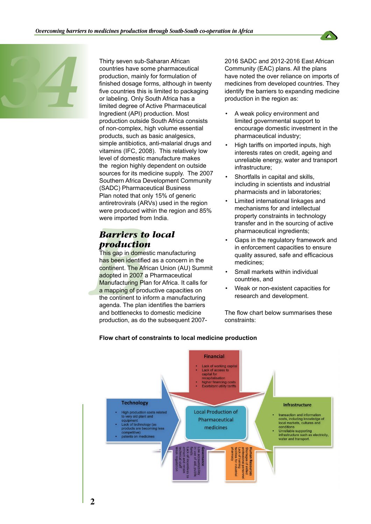



Thirty seven sub-Saharan African<br>
countries have some pharmaceuti<br>
production, mainly for formulation<br>
finished dosage forms, although in<br>
five countries this is limited to pac<br>
or labeling. Only South Africa has<br>
limited countries have some pharmaceutical production, mainly for formulation of finished dosage forms, although in twenty five countries this is limited to packaging or labeling. Only South Africa has a limited degree of Active Pharmaceutical Ingredient (API) production. Most production outside South Africa consists of non-complex, high volume essential products, such as basic analgesics, simple antibiotics, anti-malarial drugs and vitamins (IFC, 2008). This relatively low level of domestic manufacture makes the region highly dependent on outside sources for its medicine supply. The 2007 Southern Africa Development Community (SADC) Pharmaceutical Business Plan noted that only 15% of generic antiretrovirals (ARVs) used in the region were produced within the region and 85% were imported from India.

### *Barriers to local production*

were imported from<br>were imported from<br>*Barriers* **to**<br>*Production*<br>This gap in domes<br>has been identified<br>continent. The Africandopted in 2007 a<br>a mapping of production and bottlenecks to<br>agenda. The plan is and bottlenec This gap in domestic manufacturing has been identified as a concern in the continent. The African Union (AU) Summit adopted in 2007 a Pharmaceutical Manufacturing Plan for Africa. It calls for a mapping of productive capacities on the continent to inform a manufacturing agenda. The plan identifies the barriers and bottlenecks to domestic medicine production, as do the subsequent 2007-

2016 SADC and 2012-2016 East African Community (EAC) plans. All the plans have noted the over reliance on imports of medicines from developed countries. They identify the barriers to expanding medicine production in the region as:

- A weak policy environment and limited governmental support to encourage domestic investment in the pharmaceutical industry;
- High tariffs on imported inputs, high interests rates on credit, ageing and unreliable energy, water and transport infrastructure;
- Shortfalls in capital and skills, including in scientists and industrial pharmacists and in laboratories;
- Limited international linkages and mechanisms for and intellectual property constraints in technology transfer and in the sourcing of active pharmaceutical ingredients;
- Gaps in the regulatory framework and in enforcement capacities to ensure quality assured, safe and efficacious medicines;
- Small markets within individual countries, and
- Weak or non-existent capacities for research and development.

The flow chart below summarises these constraints:



#### **Flow chart of constraints to local medicine production**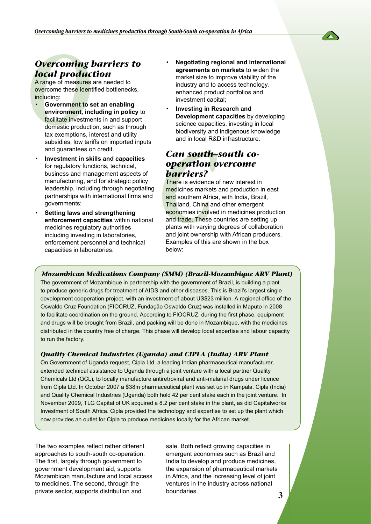

## *Overcoming barriers to local production*

A range of measures are needed to overcome these identified bottlenecks, including:

- **Overcoming 1**<br> **local produc**<br>
A range of measures<br>
overcome these ident<br>
including:<br>
 Government to s<br>
environment, inc<br>
facilitate investme<br>
domestic producti<br>
tax exemptions, in<br>
subsidies, low tari • **Government to set an enabling environment, including in policy** to facilitate investments in and support domestic production, such as through tax exemptions, interest and utility subsidies, low tariffs on imported inputs and guarantees on credit.
	- **Investment in skills and capacities** for regulatory functions, technical, business and management aspects of manufacturing, and for strategic policy leadership, including through negotiating partnerships with international firms and governments;
	- **Setting laws and strengthening enforcement capacities** within national medicines regulatory authorities including investing in laboratories, enforcement personnel and technical capacities in laboratories.
- **Negotiating regional and international agreements on markets** to widen the market size to improve viability of the industry and to access technology, enhanced product portfolios and investment capital;
- **Investing in Research and Development capacities** by developing science capacities, investing in local biodiversity and indigenous knowledge and in local R&D infrastructure.

### *Can south–south cooperation overcome barriers?*

and in local R&<br> **Can south-**<br> **Operation Carriers?**<br> **Cance is evidence of medicines markets**<br>
and southern Africa<br> **Conduct Thailand, China and trade. These conducts**<br>
and trade. These conducts with varying<br>
and joint ow There is evidence of new interest in medicines markets and production in east and southern Africa, with India, Brazil, Thailand, China and other emergent economies involved in medicines production and trade. These countries are setting up plants with varying degrees of collaboration and joint ownership with African producers. Examples of this are shown in the box below:

*Mozambican Medications Company (SMM) (Brazil-Mozambique ARV Plant)* The government of Mozambique in partnership with the government of Brazil, is building a plant to produce generic drugs for treatment of AIDS and other diseases. This is Brazil's largest single development cooperation project, with an investment of about US\$23 million. A regional office of the Oswaldo Cruz Foundation (FIOCRUZ, Fundação Oswaldo Cruz) was installed in Maputo in 2008 to facilitate coordination on the ground. According to FIOCRUZ, during the first phase, equipment and drugs will be brought from Brazil, and packing will be done in Mozambique, with the medicines distributed in the country free of charge. This phase will develop local expertise and labour capacity to run the factory.

#### *Quality Chemical Industries (Uganda) and CIPLA (India) ARV Plant*

On Government of Uganda request, Cipla Ltd, a leading Indian pharmaceutical manufacturer, extended technical assistance to Uganda through a joint venture with a local partner Quality Chemicals Ltd (QCL), to locally manufacture antiretroviral and anti-malarial drugs under licence from Cipla Ltd. In October 2007 a \$38m pharmaceutical plant was set up in Kampala. Cipla (India) and Quality Chemical Industries (Uganda) both hold 42 per cent stake each in the joint venture. In November 2009, TLG Capital of UK acquired a 8.2 per cent stake in the plant, as did Capitalworks Investment of South Africa. Cipla provided the technology and expertise to set up the plant which now provides an outlet for Cipla to produce medicines locally for the African market.

The two examples reflect rather different approaches to south-south co-operation. The first, largely through government to government development aid, supports Mozambican manufacture and local access to medicines. The second, through the private sector, supports distribution and

sale. Both reflect growing capacities in emergent economies such as Brazil and India to develop and produce medicines, the expansion of pharmaceutical markets in Africa, and the increasing level of joint ventures in the industry across national boundaries.